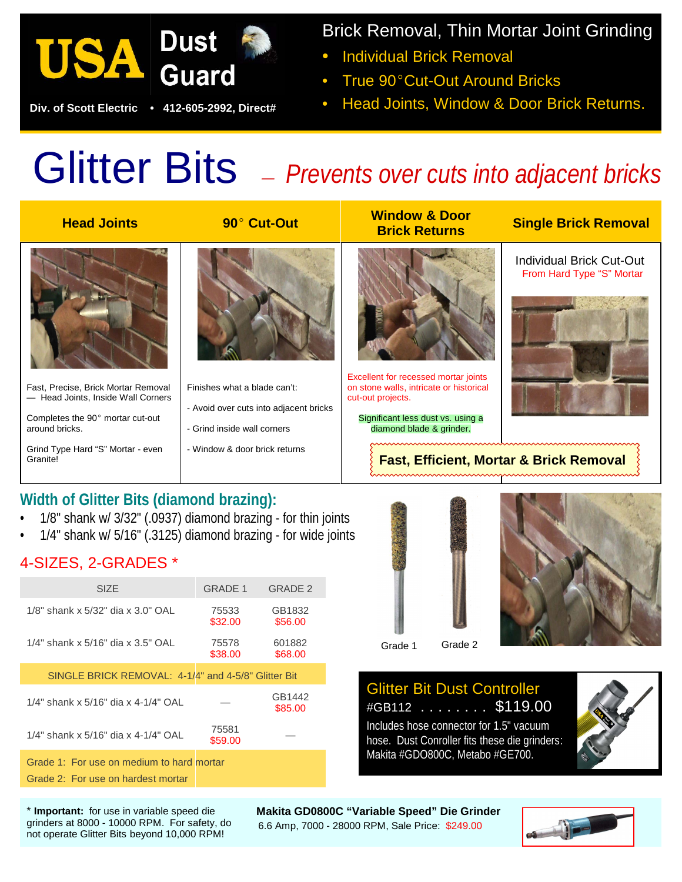

 **Div. of Scott Electric • 412-605-2992, Direct#**

Brick Removal, Thin Mortar Joint Grinding

- Individual Brick Removal
- True 90° Cut-Out Around Bricks
- Head Joints, Window & Door Brick Returns.

# Glitter Bits *— Prevents over cuts into adjacent bricks*

| <b>Head Joints</b>                                                        | 90° Cut-Out                                                           | <b>Window &amp; Door</b><br><b>Brick Returns</b>                                                     | <b>Single Brick Removal</b>                                  |
|---------------------------------------------------------------------------|-----------------------------------------------------------------------|------------------------------------------------------------------------------------------------------|--------------------------------------------------------------|
|                                                                           |                                                                       |                                                                                                      | <b>Individual Brick Cut-Out</b><br>From Hard Type "S" Mortar |
|                                                                           |                                                                       |                                                                                                      |                                                              |
| Fast, Precise, Brick Mortar Removal<br>- Head Joints, Inside Wall Corners | Finishes what a blade can't:                                          | Excellent for recessed mortar joints<br>on stone walls, intricate or historical<br>cut-out projects. |                                                              |
| Completes the 90° mortar cut-out<br>around bricks.                        | - Avoid over cuts into adjacent bricks<br>- Grind inside wall corners | Significant less dust vs. using a<br>diamond blade & grinder.                                        |                                                              |
| Grind Type Hard "S" Mortar - even<br>Granite!                             | - Window & door brick returns                                         | <b>Fast, Efficient, Mortar &amp; Brick Removal</b>                                                   |                                                              |

## **Width of Glitter Bits (diamond brazing):**

- 1/8" shank w/ 3/32" (.0937) diamond brazing for thin joints
- 1/4" shank w/ 5/16" (.3125) diamond brazing for wide joints

### 4-SIZES, 2-GRADES \*

| <b>SIZE</b>                                                                     | <b>GRADE 1</b>   | GRADE 2           |  |  |
|---------------------------------------------------------------------------------|------------------|-------------------|--|--|
| 1/8" shank x 5/32" dia x 3.0" OAL                                               | 75533<br>\$32.00 | GB1832<br>\$56.00 |  |  |
| 1/4" shank x 5/16" dia x 3.5" OAL                                               | 75578<br>\$38.00 | 601882<br>\$68.00 |  |  |
| SINGLE BRICK REMOVAL: 4-1/4" and 4-5/8" Glitter Bit                             |                  |                   |  |  |
| 1/4" shank x 5/16" dia x 4-1/4" OAL                                             |                  | GB1442<br>\$85.00 |  |  |
| 1/4" shank x 5/16" dia x 4-1/4" OAL                                             | 75581<br>\$59.00 |                   |  |  |
| Grade 1: For use on medium to hard mortar<br>Grade 2: For use on hardest mortar |                  |                   |  |  |





#### Glitter Bit Dust Controller #GB112 . . . . . . . . \$119.00

Includes hose connector for 1.5" vacuum hose. Dust Conroller fits these die grinders: Makita #GDO800C, Metabo #GE700.



\* **Important:** for use in variable speed die grinders at 8000 - 10000 RPM. For safety, do not operate Glitter Bits beyond 10,000 RPM!

 **Makita GD0800C "Variable Speed" Die Grinder** 6.6 Amp, 7000 - 28000 RPM, Sale Price: \$249.00